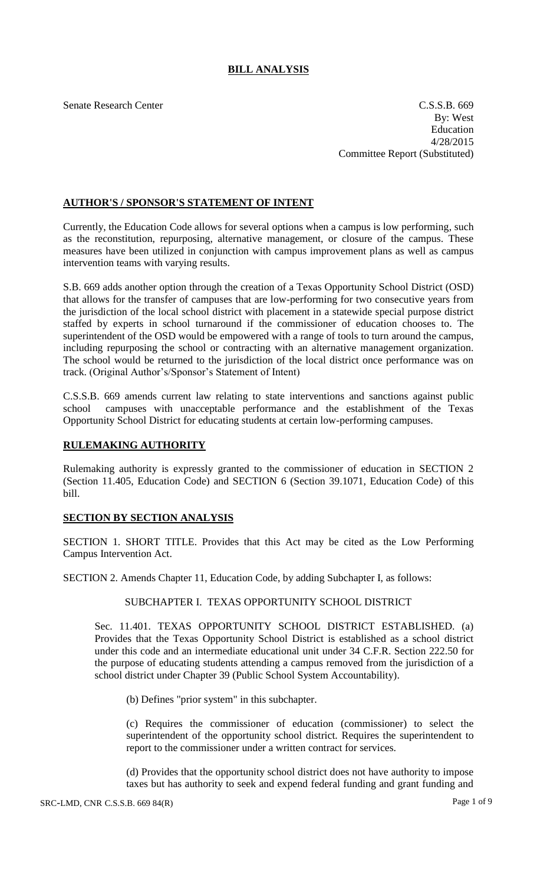# **BILL ANALYSIS**

Senate Research Center Cassets and the C.S.S.B. 669 By: West Education 4/28/2015 Committee Report (Substituted)

# **AUTHOR'S / SPONSOR'S STATEMENT OF INTENT**

Currently, the Education Code allows for several options when a campus is low performing, such as the reconstitution, repurposing, alternative management, or closure of the campus. These measures have been utilized in conjunction with campus improvement plans as well as campus intervention teams with varying results.

S.B. 669 adds another option through the creation of a Texas Opportunity School District (OSD) that allows for the transfer of campuses that are low-performing for two consecutive years from the jurisdiction of the local school district with placement in a statewide special purpose district staffed by experts in school turnaround if the commissioner of education chooses to. The superintendent of the OSD would be empowered with a range of tools to turn around the campus, including repurposing the school or contracting with an alternative management organization. The school would be returned to the jurisdiction of the local district once performance was on track. (Original Author's/Sponsor's Statement of Intent)

C.S.S.B. 669 amends current law relating to state interventions and sanctions against public school campuses with unacceptable performance and the establishment of the Texas Opportunity School District for educating students at certain low-performing campuses.

#### **RULEMAKING AUTHORITY**

Rulemaking authority is expressly granted to the commissioner of education in SECTION 2 (Section 11.405, Education Code) and SECTION 6 (Section 39.1071, Education Code) of this bill.

## **SECTION BY SECTION ANALYSIS**

SECTION 1. SHORT TITLE. Provides that this Act may be cited as the Low Performing Campus Intervention Act.

SECTION 2. Amends Chapter 11, Education Code, by adding Subchapter I, as follows:

## SUBCHAPTER I. TEXAS OPPORTUNITY SCHOOL DISTRICT

Sec. 11.401. TEXAS OPPORTUNITY SCHOOL DISTRICT ESTABLISHED. (a) Provides that the Texas Opportunity School District is established as a school district under this code and an intermediate educational unit under 34 C.F.R. Section 222.50 for the purpose of educating students attending a campus removed from the jurisdiction of a school district under Chapter 39 (Public School System Accountability).

(b) Defines "prior system" in this subchapter.

(c) Requires the commissioner of education (commissioner) to select the superintendent of the opportunity school district. Requires the superintendent to report to the commissioner under a written contract for services.

(d) Provides that the opportunity school district does not have authority to impose taxes but has authority to seek and expend federal funding and grant funding and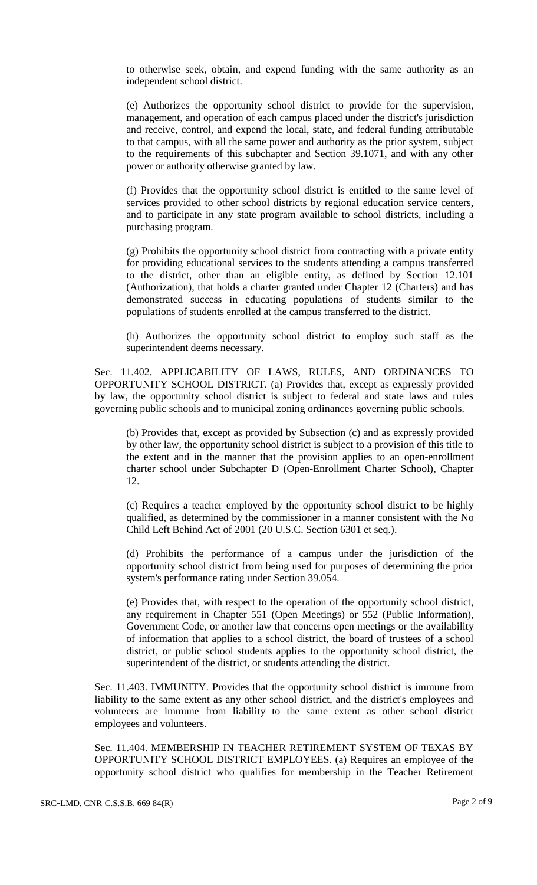to otherwise seek, obtain, and expend funding with the same authority as an independent school district.

(e) Authorizes the opportunity school district to provide for the supervision, management, and operation of each campus placed under the district's jurisdiction and receive, control, and expend the local, state, and federal funding attributable to that campus, with all the same power and authority as the prior system, subject to the requirements of this subchapter and Section 39.1071, and with any other power or authority otherwise granted by law.

(f) Provides that the opportunity school district is entitled to the same level of services provided to other school districts by regional education service centers, and to participate in any state program available to school districts, including a purchasing program.

(g) Prohibits the opportunity school district from contracting with a private entity for providing educational services to the students attending a campus transferred to the district, other than an eligible entity, as defined by Section 12.101 (Authorization), that holds a charter granted under Chapter 12 (Charters) and has demonstrated success in educating populations of students similar to the populations of students enrolled at the campus transferred to the district.

(h) Authorizes the opportunity school district to employ such staff as the superintendent deems necessary.

Sec. 11.402. APPLICABILITY OF LAWS, RULES, AND ORDINANCES TO OPPORTUNITY SCHOOL DISTRICT. (a) Provides that, except as expressly provided by law, the opportunity school district is subject to federal and state laws and rules governing public schools and to municipal zoning ordinances governing public schools.

(b) Provides that, except as provided by Subsection (c) and as expressly provided by other law, the opportunity school district is subject to a provision of this title to the extent and in the manner that the provision applies to an open-enrollment charter school under Subchapter D (Open-Enrollment Charter School), Chapter 12.

(c) Requires a teacher employed by the opportunity school district to be highly qualified, as determined by the commissioner in a manner consistent with the No Child Left Behind Act of 2001 (20 U.S.C. Section 6301 et seq.).

(d) Prohibits the performance of a campus under the jurisdiction of the opportunity school district from being used for purposes of determining the prior system's performance rating under Section 39.054.

(e) Provides that, with respect to the operation of the opportunity school district, any requirement in Chapter 551 (Open Meetings) or 552 (Public Information), Government Code, or another law that concerns open meetings or the availability of information that applies to a school district, the board of trustees of a school district, or public school students applies to the opportunity school district, the superintendent of the district, or students attending the district.

Sec. 11.403. IMMUNITY. Provides that the opportunity school district is immune from liability to the same extent as any other school district, and the district's employees and volunteers are immune from liability to the same extent as other school district employees and volunteers.

Sec. 11.404. MEMBERSHIP IN TEACHER RETIREMENT SYSTEM OF TEXAS BY OPPORTUNITY SCHOOL DISTRICT EMPLOYEES. (a) Requires an employee of the opportunity school district who qualifies for membership in the Teacher Retirement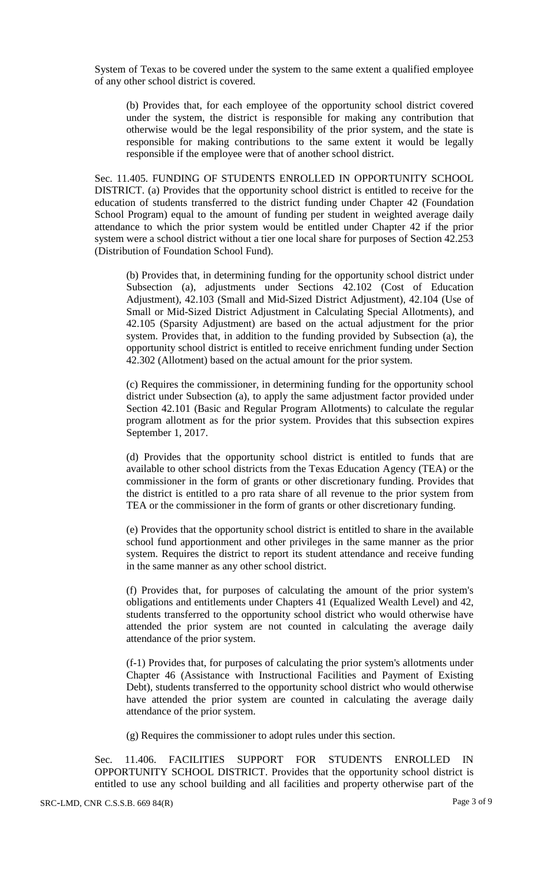System of Texas to be covered under the system to the same extent a qualified employee of any other school district is covered.

(b) Provides that, for each employee of the opportunity school district covered under the system, the district is responsible for making any contribution that otherwise would be the legal responsibility of the prior system, and the state is responsible for making contributions to the same extent it would be legally responsible if the employee were that of another school district.

Sec. 11.405. FUNDING OF STUDENTS ENROLLED IN OPPORTUNITY SCHOOL DISTRICT. (a) Provides that the opportunity school district is entitled to receive for the education of students transferred to the district funding under Chapter 42 (Foundation School Program) equal to the amount of funding per student in weighted average daily attendance to which the prior system would be entitled under Chapter 42 if the prior system were a school district without a tier one local share for purposes of Section 42.253 (Distribution of Foundation School Fund).

(b) Provides that, in determining funding for the opportunity school district under Subsection (a), adjustments under Sections 42.102 (Cost of Education Adjustment), 42.103 (Small and Mid-Sized District Adjustment), 42.104 (Use of Small or Mid-Sized District Adjustment in Calculating Special Allotments), and 42.105 (Sparsity Adjustment) are based on the actual adjustment for the prior system. Provides that, in addition to the funding provided by Subsection (a), the opportunity school district is entitled to receive enrichment funding under Section 42.302 (Allotment) based on the actual amount for the prior system.

(c) Requires the commissioner, in determining funding for the opportunity school district under Subsection (a), to apply the same adjustment factor provided under Section 42.101 (Basic and Regular Program Allotments) to calculate the regular program allotment as for the prior system. Provides that this subsection expires September 1, 2017.

(d) Provides that the opportunity school district is entitled to funds that are available to other school districts from the Texas Education Agency (TEA) or the commissioner in the form of grants or other discretionary funding. Provides that the district is entitled to a pro rata share of all revenue to the prior system from TEA or the commissioner in the form of grants or other discretionary funding.

(e) Provides that the opportunity school district is entitled to share in the available school fund apportionment and other privileges in the same manner as the prior system. Requires the district to report its student attendance and receive funding in the same manner as any other school district.

(f) Provides that, for purposes of calculating the amount of the prior system's obligations and entitlements under Chapters 41 (Equalized Wealth Level) and 42, students transferred to the opportunity school district who would otherwise have attended the prior system are not counted in calculating the average daily attendance of the prior system.

(f-1) Provides that, for purposes of calculating the prior system's allotments under Chapter 46 (Assistance with Instructional Facilities and Payment of Existing Debt), students transferred to the opportunity school district who would otherwise have attended the prior system are counted in calculating the average daily attendance of the prior system.

(g) Requires the commissioner to adopt rules under this section.

Sec. 11.406. FACILITIES SUPPORT FOR STUDENTS ENROLLED IN OPPORTUNITY SCHOOL DISTRICT. Provides that the opportunity school district is entitled to use any school building and all facilities and property otherwise part of the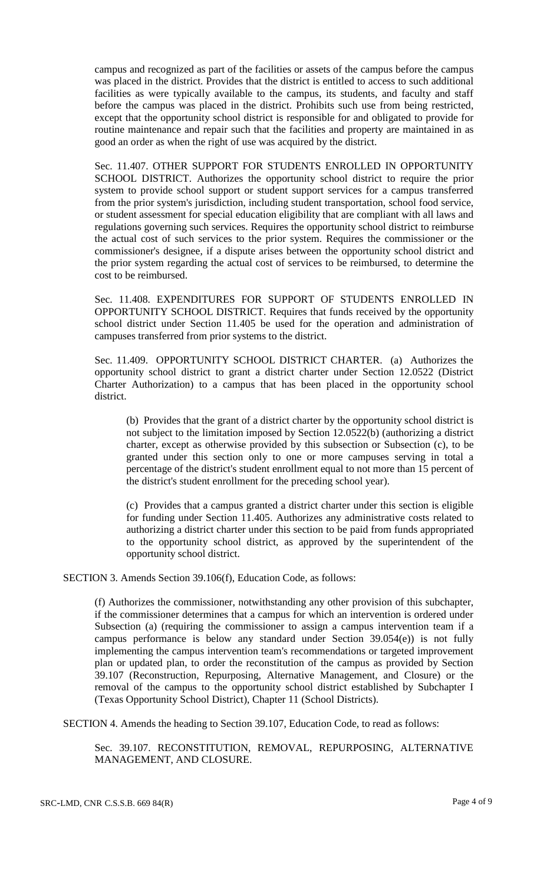campus and recognized as part of the facilities or assets of the campus before the campus was placed in the district. Provides that the district is entitled to access to such additional facilities as were typically available to the campus, its students, and faculty and staff before the campus was placed in the district. Prohibits such use from being restricted, except that the opportunity school district is responsible for and obligated to provide for routine maintenance and repair such that the facilities and property are maintained in as good an order as when the right of use was acquired by the district.

Sec. 11.407. OTHER SUPPORT FOR STUDENTS ENROLLED IN OPPORTUNITY SCHOOL DISTRICT. Authorizes the opportunity school district to require the prior system to provide school support or student support services for a campus transferred from the prior system's jurisdiction, including student transportation, school food service, or student assessment for special education eligibility that are compliant with all laws and regulations governing such services. Requires the opportunity school district to reimburse the actual cost of such services to the prior system. Requires the commissioner or the commissioner's designee, if a dispute arises between the opportunity school district and the prior system regarding the actual cost of services to be reimbursed, to determine the cost to be reimbursed.

Sec. 11.408. EXPENDITURES FOR SUPPORT OF STUDENTS ENROLLED IN OPPORTUNITY SCHOOL DISTRICT. Requires that funds received by the opportunity school district under Section 11.405 be used for the operation and administration of campuses transferred from prior systems to the district.

Sec. 11.409. OPPORTUNITY SCHOOL DISTRICT CHARTER. (a) Authorizes the opportunity school district to grant a district charter under Section 12.0522 (District Charter Authorization) to a campus that has been placed in the opportunity school district.

(b) Provides that the grant of a district charter by the opportunity school district is not subject to the limitation imposed by Section 12.0522(b) (authorizing a district charter, except as otherwise provided by this subsection or Subsection (c), to be granted under this section only to one or more campuses serving in total a percentage of the district's student enrollment equal to not more than 15 percent of the district's student enrollment for the preceding school year).

(c) Provides that a campus granted a district charter under this section is eligible for funding under Section 11.405. Authorizes any administrative costs related to authorizing a district charter under this section to be paid from funds appropriated to the opportunity school district, as approved by the superintendent of the opportunity school district.

SECTION 3. Amends Section 39.106(f), Education Code, as follows:

(f) Authorizes the commissioner, notwithstanding any other provision of this subchapter, if the commissioner determines that a campus for which an intervention is ordered under Subsection (a) (requiring the commissioner to assign a campus intervention team if a campus performance is below any standard under Section 39.054(e)) is not fully implementing the campus intervention team's recommendations or targeted improvement plan or updated plan, to order the reconstitution of the campus as provided by Section 39.107 (Reconstruction, Repurposing, Alternative Management, and Closure) or the removal of the campus to the opportunity school district established by Subchapter I (Texas Opportunity School District), Chapter 11 (School Districts).

SECTION 4. Amends the heading to Section 39.107, Education Code, to read as follows:

Sec. 39.107. RECONSTITUTION, REMOVAL, REPURPOSING, ALTERNATIVE MANAGEMENT, AND CLOSURE.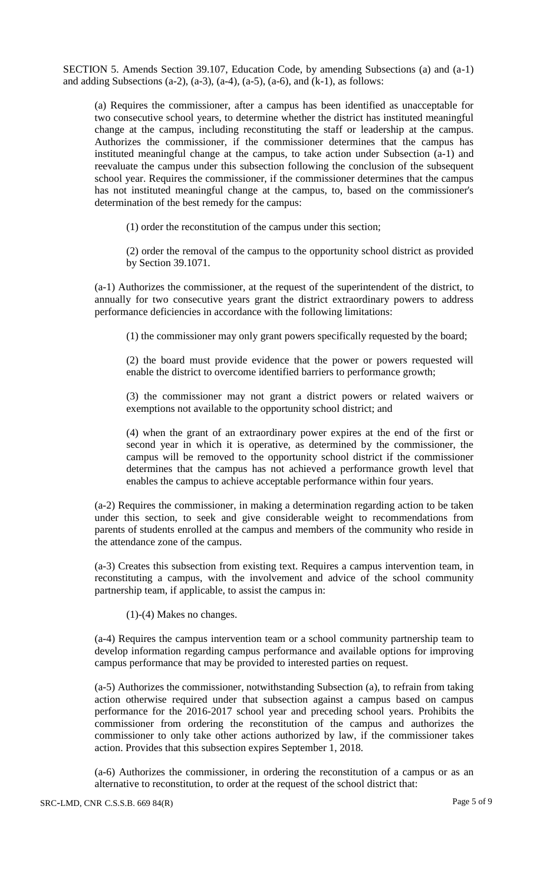SECTION 5. Amends Section 39.107, Education Code, by amending Subsections (a) and (a-1) and adding Subsections (a-2), (a-3), (a-4), (a-5), (a-6), and (k-1), as follows:

(a) Requires the commissioner, after a campus has been identified as unacceptable for two consecutive school years, to determine whether the district has instituted meaningful change at the campus, including reconstituting the staff or leadership at the campus. Authorizes the commissioner, if the commissioner determines that the campus has instituted meaningful change at the campus, to take action under Subsection (a-1) and reevaluate the campus under this subsection following the conclusion of the subsequent school year. Requires the commissioner, if the commissioner determines that the campus has not instituted meaningful change at the campus, to, based on the commissioner's determination of the best remedy for the campus:

(1) order the reconstitution of the campus under this section;

(2) order the removal of the campus to the opportunity school district as provided by Section 39.1071.

(a-1) Authorizes the commissioner, at the request of the superintendent of the district, to annually for two consecutive years grant the district extraordinary powers to address performance deficiencies in accordance with the following limitations:

(1) the commissioner may only grant powers specifically requested by the board;

(2) the board must provide evidence that the power or powers requested will enable the district to overcome identified barriers to performance growth;

(3) the commissioner may not grant a district powers or related waivers or exemptions not available to the opportunity school district; and

(4) when the grant of an extraordinary power expires at the end of the first or second year in which it is operative, as determined by the commissioner, the campus will be removed to the opportunity school district if the commissioner determines that the campus has not achieved a performance growth level that enables the campus to achieve acceptable performance within four years.

(a-2) Requires the commissioner, in making a determination regarding action to be taken under this section, to seek and give considerable weight to recommendations from parents of students enrolled at the campus and members of the community who reside in the attendance zone of the campus.

(a-3) Creates this subsection from existing text. Requires a campus intervention team, in reconstituting a campus, with the involvement and advice of the school community partnership team, if applicable, to assist the campus in:

(1)-(4) Makes no changes.

(a-4) Requires the campus intervention team or a school community partnership team to develop information regarding campus performance and available options for improving campus performance that may be provided to interested parties on request.

(a-5) Authorizes the commissioner, notwithstanding Subsection (a), to refrain from taking action otherwise required under that subsection against a campus based on campus performance for the 2016-2017 school year and preceding school years. Prohibits the commissioner from ordering the reconstitution of the campus and authorizes the commissioner to only take other actions authorized by law, if the commissioner takes action. Provides that this subsection expires September 1, 2018.

(a-6) Authorizes the commissioner, in ordering the reconstitution of a campus or as an alternative to reconstitution, to order at the request of the school district that: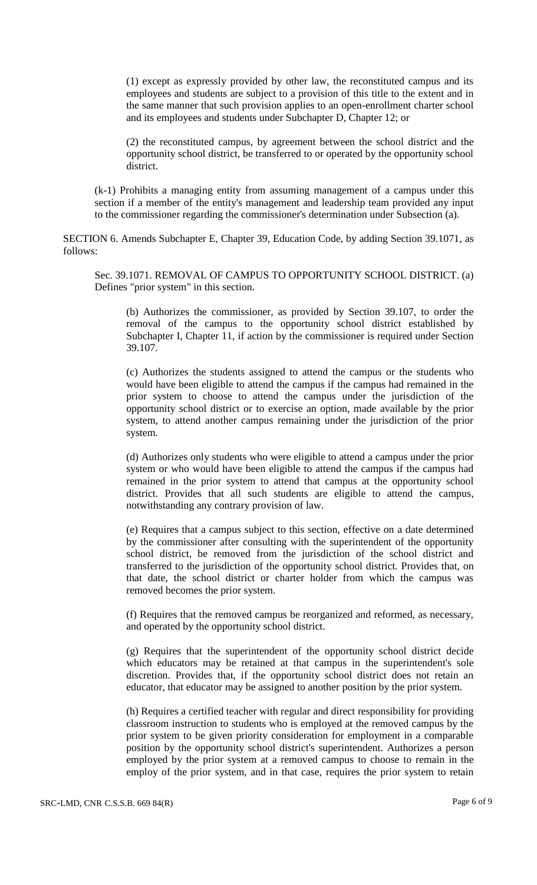(1) except as expressly provided by other law, the reconstituted campus and its employees and students are subject to a provision of this title to the extent and in the same manner that such provision applies to an open-enrollment charter school and its employees and students under Subchapter D, Chapter 12; or

(2) the reconstituted campus, by agreement between the school district and the opportunity school district, be transferred to or operated by the opportunity school district.

(k-1) Prohibits a managing entity from assuming management of a campus under this section if a member of the entity's management and leadership team provided any input to the commissioner regarding the commissioner's determination under Subsection (a).

SECTION 6. Amends Subchapter E, Chapter 39, Education Code, by adding Section 39.1071, as follows:

Sec. 39.1071. REMOVAL OF CAMPUS TO OPPORTUNITY SCHOOL DISTRICT. (a) Defines "prior system" in this section.

(b) Authorizes the commissioner, as provided by Section 39.107, to order the removal of the campus to the opportunity school district established by Subchapter I, Chapter 11, if action by the commissioner is required under Section 39.107.

(c) Authorizes the students assigned to attend the campus or the students who would have been eligible to attend the campus if the campus had remained in the prior system to choose to attend the campus under the jurisdiction of the opportunity school district or to exercise an option, made available by the prior system, to attend another campus remaining under the jurisdiction of the prior system.

(d) Authorizes only students who were eligible to attend a campus under the prior system or who would have been eligible to attend the campus if the campus had remained in the prior system to attend that campus at the opportunity school district. Provides that all such students are eligible to attend the campus, notwithstanding any contrary provision of law.

(e) Requires that a campus subject to this section, effective on a date determined by the commissioner after consulting with the superintendent of the opportunity school district, be removed from the jurisdiction of the school district and transferred to the jurisdiction of the opportunity school district. Provides that, on that date, the school district or charter holder from which the campus was removed becomes the prior system.

(f) Requires that the removed campus be reorganized and reformed, as necessary, and operated by the opportunity school district.

(g) Requires that the superintendent of the opportunity school district decide which educators may be retained at that campus in the superintendent's sole discretion. Provides that, if the opportunity school district does not retain an educator, that educator may be assigned to another position by the prior system.

(h) Requires a certified teacher with regular and direct responsibility for providing classroom instruction to students who is employed at the removed campus by the prior system to be given priority consideration for employment in a comparable position by the opportunity school district's superintendent. Authorizes a person employed by the prior system at a removed campus to choose to remain in the employ of the prior system, and in that case, requires the prior system to retain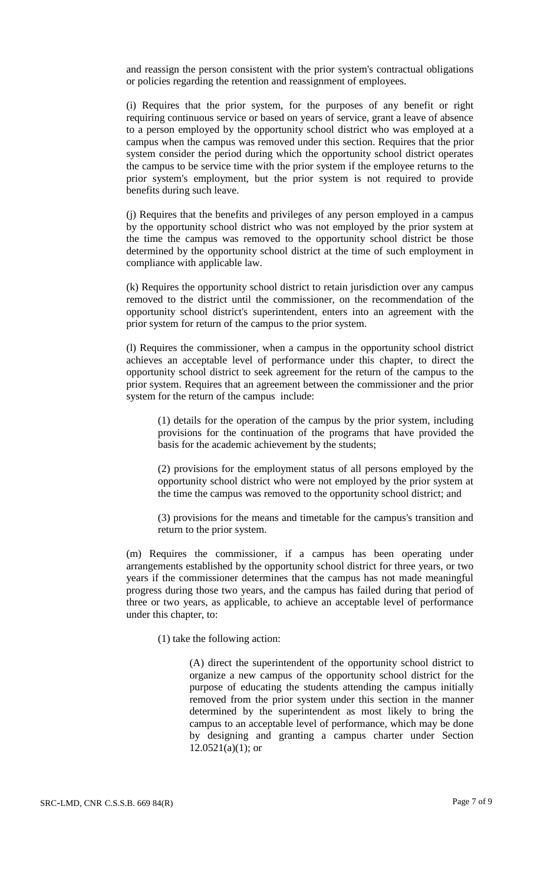and reassign the person consistent with the prior system's contractual obligations or policies regarding the retention and reassignment of employees.

(i) Requires that the prior system, for the purposes of any benefit or right requiring continuous service or based on years of service, grant a leave of absence to a person employed by the opportunity school district who was employed at a campus when the campus was removed under this section. Requires that the prior system consider the period during which the opportunity school district operates the campus to be service time with the prior system if the employee returns to the prior system's employment, but the prior system is not required to provide benefits during such leave.

(j) Requires that the benefits and privileges of any person employed in a campus by the opportunity school district who was not employed by the prior system at the time the campus was removed to the opportunity school district be those determined by the opportunity school district at the time of such employment in compliance with applicable law.

(k) Requires the opportunity school district to retain jurisdiction over any campus removed to the district until the commissioner, on the recommendation of the opportunity school district's superintendent, enters into an agreement with the prior system for return of the campus to the prior system.

(l) Requires the commissioner, when a campus in the opportunity school district achieves an acceptable level of performance under this chapter, to direct the opportunity school district to seek agreement for the return of the campus to the prior system. Requires that an agreement between the commissioner and the prior system for the return of the campus include:

(1) details for the operation of the campus by the prior system, including provisions for the continuation of the programs that have provided the basis for the academic achievement by the students;

(2) provisions for the employment status of all persons employed by the opportunity school district who were not employed by the prior system at the time the campus was removed to the opportunity school district; and

(3) provisions for the means and timetable for the campus's transition and return to the prior system.

(m) Requires the commissioner, if a campus has been operating under arrangements established by the opportunity school district for three years, or two years if the commissioner determines that the campus has not made meaningful progress during those two years, and the campus has failed during that period of three or two years, as applicable, to achieve an acceptable level of performance under this chapter, to:

(1) take the following action:

(A) direct the superintendent of the opportunity school district to organize a new campus of the opportunity school district for the purpose of educating the students attending the campus initially removed from the prior system under this section in the manner determined by the superintendent as most likely to bring the campus to an acceptable level of performance, which may be done by designing and granting a campus charter under Section  $12.0521(a)(1)$ ; or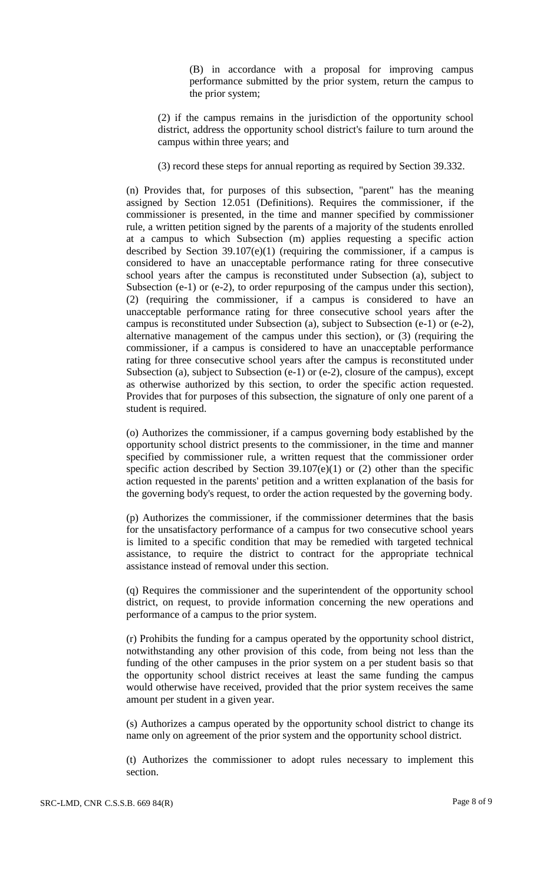(B) in accordance with a proposal for improving campus performance submitted by the prior system, return the campus to the prior system;

(2) if the campus remains in the jurisdiction of the opportunity school district, address the opportunity school district's failure to turn around the campus within three years; and

(3) record these steps for annual reporting as required by Section 39.332.

(n) Provides that, for purposes of this subsection, "parent" has the meaning assigned by Section 12.051 (Definitions). Requires the commissioner, if the commissioner is presented, in the time and manner specified by commissioner rule, a written petition signed by the parents of a majority of the students enrolled at a campus to which Subsection (m) applies requesting a specific action described by Section 39.107(e)(1) (requiring the commissioner, if a campus is considered to have an unacceptable performance rating for three consecutive school years after the campus is reconstituted under Subsection (a), subject to Subsection (e-1) or (e-2), to order repurposing of the campus under this section), (2) (requiring the commissioner, if a campus is considered to have an unacceptable performance rating for three consecutive school years after the campus is reconstituted under Subsection (a), subject to Subsection (e-1) or (e-2), alternative management of the campus under this section), or (3) (requiring the commissioner, if a campus is considered to have an unacceptable performance rating for three consecutive school years after the campus is reconstituted under Subsection (a), subject to Subsection (e-1) or (e-2), closure of the campus), except as otherwise authorized by this section, to order the specific action requested. Provides that for purposes of this subsection, the signature of only one parent of a student is required.

(o) Authorizes the commissioner, if a campus governing body established by the opportunity school district presents to the commissioner, in the time and manner specified by commissioner rule, a written request that the commissioner order specific action described by Section  $39.107(e)(1)$  or  $(2)$  other than the specific action requested in the parents' petition and a written explanation of the basis for the governing body's request, to order the action requested by the governing body.

(p) Authorizes the commissioner, if the commissioner determines that the basis for the unsatisfactory performance of a campus for two consecutive school years is limited to a specific condition that may be remedied with targeted technical assistance, to require the district to contract for the appropriate technical assistance instead of removal under this section.

(q) Requires the commissioner and the superintendent of the opportunity school district, on request, to provide information concerning the new operations and performance of a campus to the prior system.

(r) Prohibits the funding for a campus operated by the opportunity school district, notwithstanding any other provision of this code, from being not less than the funding of the other campuses in the prior system on a per student basis so that the opportunity school district receives at least the same funding the campus would otherwise have received, provided that the prior system receives the same amount per student in a given year.

(s) Authorizes a campus operated by the opportunity school district to change its name only on agreement of the prior system and the opportunity school district.

(t) Authorizes the commissioner to adopt rules necessary to implement this section.